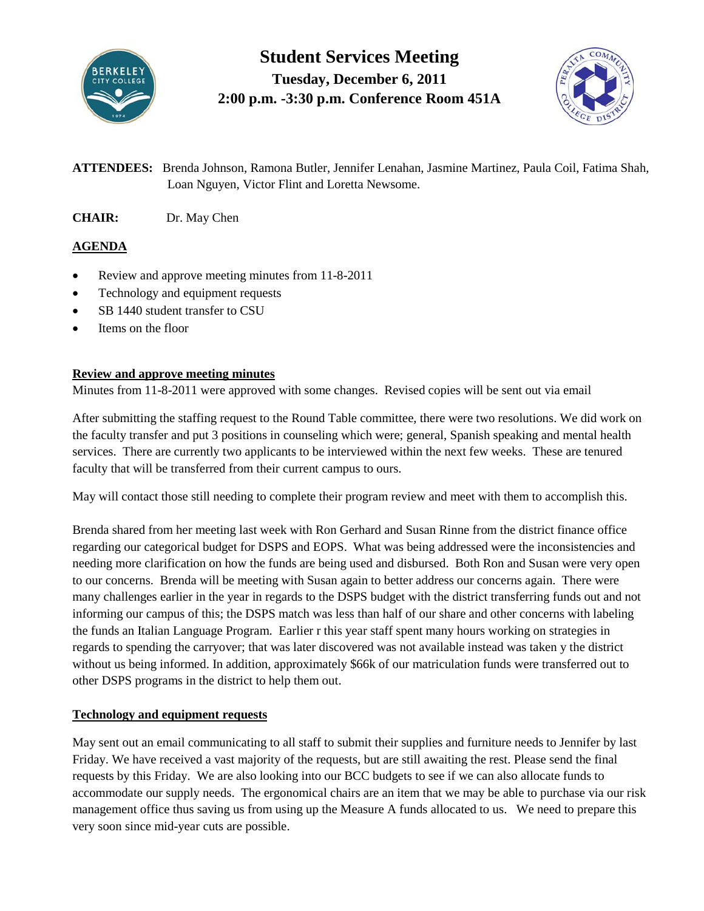

**Student Services Meeting Tuesday, December 6, 2011 2:00 p.m. -3:30 p.m. Conference Room 451A**



**ATTENDEES:** Brenda Johnson, Ramona Butler, Jennifer Lenahan, Jasmine Martinez, Paula Coil, Fatima Shah, Loan Nguyen, Victor Flint and Loretta Newsome.

**CHAIR:** Dr. May Chen

# **AGENDA**

- Review and approve meeting minutes from 11-8-2011
- Technology and equipment requests
- SB 1440 student transfer to CSU
- Items on the floor

## **Review and approve meeting minutes**

Minutes from 11-8-2011 were approved with some changes. Revised copies will be sent out via email

After submitting the staffing request to the Round Table committee, there were two resolutions. We did work on the faculty transfer and put 3 positions in counseling which were; general, Spanish speaking and mental health services. There are currently two applicants to be interviewed within the next few weeks. These are tenured faculty that will be transferred from their current campus to ours.

May will contact those still needing to complete their program review and meet with them to accomplish this.

Brenda shared from her meeting last week with Ron Gerhard and Susan Rinne from the district finance office regarding our categorical budget for DSPS and EOPS. What was being addressed were the inconsistencies and needing more clarification on how the funds are being used and disbursed. Both Ron and Susan were very open to our concerns. Brenda will be meeting with Susan again to better address our concerns again. There were many challenges earlier in the year in regards to the DSPS budget with the district transferring funds out and not informing our campus of this; the DSPS match was less than half of our share and other concerns with labeling the funds an Italian Language Program. Earlier r this year staff spent many hours working on strategies in regards to spending the carryover; that was later discovered was not available instead was taken y the district without us being informed. In addition, approximately \$66k of our matriculation funds were transferred out to other DSPS programs in the district to help them out.

## **Technology and equipment requests**

May sent out an email communicating to all staff to submit their supplies and furniture needs to Jennifer by last Friday. We have received a vast majority of the requests, but are still awaiting the rest. Please send the final requests by this Friday. We are also looking into our BCC budgets to see if we can also allocate funds to accommodate our supply needs. The ergonomical chairs are an item that we may be able to purchase via our risk management office thus saving us from using up the Measure A funds allocated to us. We need to prepare this very soon since mid-year cuts are possible.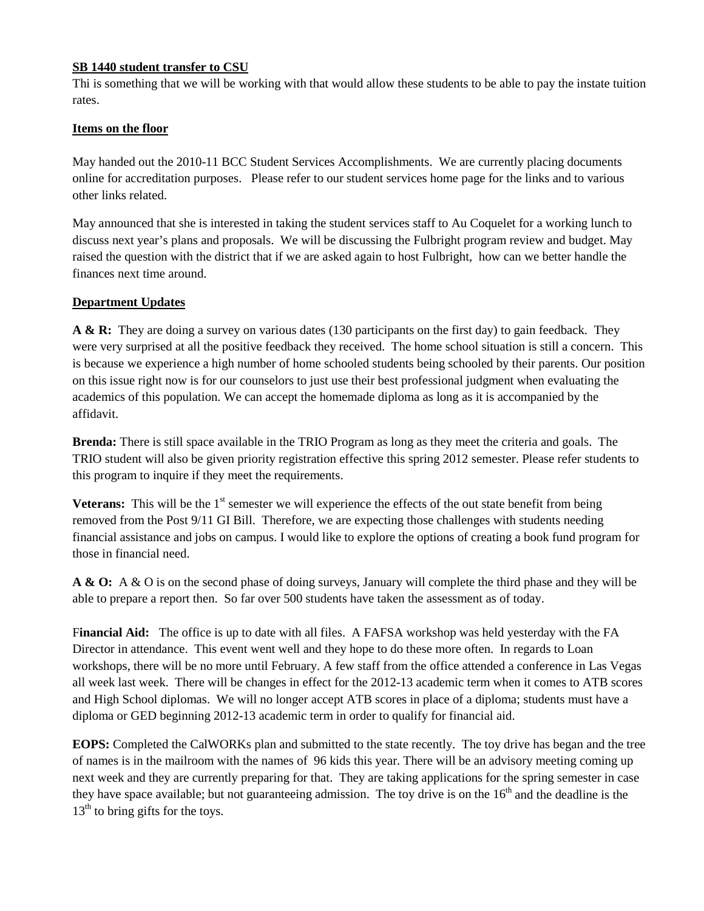### **SB 1440 student transfer to CSU**

Thi is something that we will be working with that would allow these students to be able to pay the instate tuition rates.

#### **Items on the floor**

May handed out the 2010-11 BCC Student Services Accomplishments. We are currently placing documents online for accreditation purposes. Please refer to our student services home page for the links and to various other links related.

May announced that she is interested in taking the student services staff to Au Coquelet for a working lunch to discuss next year's plans and proposals. We will be discussing the Fulbright program review and budget. May raised the question with the district that if we are asked again to host Fulbright, how can we better handle the finances next time around.

### **Department Updates**

**A & R:** They are doing a survey on various dates (130 participants on the first day) to gain feedback. They were very surprised at all the positive feedback they received. The home school situation is still a concern. This is because we experience a high number of home schooled students being schooled by their parents. Our position on this issue right now is for our counselors to just use their best professional judgment when evaluating the academics of this population. We can accept the homemade diploma as long as it is accompanied by the affidavit.

**Brenda:** There is still space available in the TRIO Program as long as they meet the criteria and goals. The TRIO student will also be given priority registration effective this spring 2012 semester. Please refer students to this program to inquire if they meet the requirements.

**Veterans:** This will be the  $1<sup>st</sup>$  semester we will experience the effects of the out state benefit from being removed from the Post 9/11 GI Bill. Therefore, we are expecting those challenges with students needing financial assistance and jobs on campus. I would like to explore the options of creating a book fund program for those in financial need.

**A & O:** A & O is on the second phase of doing surveys, January will complete the third phase and they will be able to prepare a report then. So far over 500 students have taken the assessment as of today.

F**inancial Aid:** The office is up to date with all files. A FAFSA workshop was held yesterday with the FA Director in attendance. This event went well and they hope to do these more often. In regards to Loan workshops, there will be no more until February. A few staff from the office attended a conference in Las Vegas all week last week. There will be changes in effect for the 2012-13 academic term when it comes to ATB scores and High School diplomas. We will no longer accept ATB scores in place of a diploma; students must have a diploma or GED beginning 2012-13 academic term in order to qualify for financial aid.

**EOPS:** Completed the CalWORKs plan and submitted to the state recently. The toy drive has began and the tree of names is in the mailroom with the names of 96 kids this year. There will be an advisory meeting coming up next week and they are currently preparing for that. They are taking applications for the spring semester in case they have space available; but not guaranteeing admission. The toy drive is on the  $16<sup>th</sup>$  and the deadline is the  $13<sup>th</sup>$  to bring gifts for the toys.